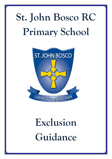# **St. John Bosco RC Primary School**



# <span id="page-0-0"></span>**Exclusion Guidance**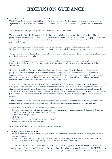# **EXCLUSION GUIDANCE**

# **1.1 The DFE's Exclusion Guidance, September 2017**

The DFE published new statutory guidance on Exclusions in July 2017. The statutory guidance commences from September 2017. Therefore, Headteachers should refer to this document when excluding pupils from 1st September 2017.

### Web Link:<https://www.gov.uk/government/publications/school-exclusion>

The guidance details the legal responsibilities for those who exclude students from educational settings. The guidance governs the exclusion of pupils from local authority maintained schools, academies and free schools, pupil referral units and alternative provision academies. This statutory guidance sets out what schools and local authorities must do to comply with the law.

The new statutory guidance includes updates on the exclusion review process and includes non-statutory annexes for Headteachers and parents. The changes were introduced to provide clarity around the exclusion process.

The guidance now states that the law does not allow for extending a fixed-period exclusion or 'converting' a fixed period exclusion into a permanent exclusion.

The guidance also suggests that parent/carer should be notified of the exclusion in person by telephone in the first instance allowing the parent/carer an opportunity to ask any initial questions or raise concerns directly with the Headteacher.

Non-statutory guidance for Headteachers have been included that suggests that all schools should have a behaviour policy which should include processes for identifying and supporting pupils' additional needs. The guidance also suggests that there should be a system in place that ensures the Headteacher is aware of any pupils showing persistent poor behaviour or not responding to low level sanctions - including the consideration of engaging with foster carers, children's home workers, the local authority and the virtual school head.

Previous training sessions with schools staff/governors has identified that some schools still believe that once a child has been given 45 days of exclusions they become permanently excluded. This is not the case. The guidance states that a child can only be excluded up to 45 school days in one school year, even if the pupil has changed schools during the academic year. Where a pupil has received multiple exclusions or is approaching the legal limit of 45 school days of fixed period exclusion in an academic year, the Headteacher should consider whether exclusion is providing an effective sanction.

Additional guidance on the process of Independent Panel Reviews has also been included in the new guidance. This includes further guidance relating to a governing body's duty to reconsider reinstatement following a review.

Relevant web links referred to in the Exclusion guidance includes;

- *[Exclusion from maintained schools, academies and pupil referral units in England –](https://www.gov.uk/government/uploads/system/uploads/attachment_data/file/630073/Exclusion_from_maintained_schools__academies_and_pupil_referral_units_guidance.pdf) Statutory guidance, Department for Education.*
- *[School Discipline and Exclusions](http://www.direct.gov.uk/en/Parents/Schoolslearninganddevelopment/YourChildsWelfareAtSchool/index.htm) – Department for Education*
- *[Coram Children's Legal Centre](http://www.childrenslegalcentre.com/index.php?page=school%20exclusions)*
- *[ACE Education](http://www.ace-ed.org.uk/)*
- *[National Autistic Society \(NAS\) Exclusion Service \(England\)](http://www.autism.org.uk/services/helplines/school-exclusions.aspx)*
- *[Independent Parental Special Education Advice](https://www.ipsea.org.uk/)*

*N.B. Together for Children is not responsible for the content of external sites.*

# **1.2 Notifying the L.A. of exclusions.**

The Headteacher has a duty to inform the governing body and the local authority about an exclusion, without delay, if;

- *a permanent exclusion*
- *exclusions which would result in the pupil being excluded for more than five school days (or more than 10 lunchtimes) in a term; and*
- *exclusions which would result in a pupil missing a public examination or national curriculum test*

The vast majority of schools notify the Local Authority, via Business Support – Exclusions, either by emailing or posting a copy of the letter notifying parent of the exclusion. This allows the data to be accurate if the DFE/Secretary of State request information on exclusions within the preceding 12 months. Together for Children encourage schools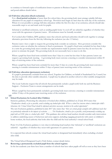to continue to forward copies of notification letters to parents to Business Support – Exclusions. See email address and postal address details below.

#### **1.3 Full-time education (fixed exclusion)**

For a **fixed period exclusion** of more than five school days, the governing body must arrange suitable full-time education for any pupil of compulsory school age. Provision must begin no later than the sixth day of the exclusion. Where it is not possible to arrange full-time education within the first five days of an exclusion, schools should take reasonable steps to set and mark work for pupils.

Informal or unofficial exclusions, such as sending pupils home 'to cool off' are unlawful, regardless of whether they occur with the agreement of parents/carers. All exclusions must be formally recorded.

For Looked after Children, DFE guidance states that schools and local authorities should work together to arrange alternative provision from the first day following the exclusion (see also 1.5 below).

Parents/carer s have a right to request the governing body consider an exclusion. How governors consider this exclusion varies on whether the exclusion is fixed or permanent. If a pupil is fixed term excluded for less than 6 days in a term the governing body must consider any representation made by parents/carers but they do not have the power to reinstate the pupil. The governing body do not necessarily have to meet to do this.

Where a pupil has been fixed term excluded more than 5 days in a term but less than 16 days parents/carers can request a governing body meeting. A governing body must convene a meeting to consider reinstatement within 50 days of receiving notice of the exclusion.

Where a pupil has been fixed term excluded for more than 15 days in a term the governing body must convene a meeting to consider reinstatement within 15 days of parent/carer receiving notice of the exclusion.

#### **1.4 Full-time education (permanent exclusion)**

If a pupil is permanently excluded from any school, Together for Children, on behalf of Sunderland City Council, has the duty to provide other suitable education. A pupil may be placed in another school or other suitable arrangements may be made.

The Local Authority request that all schools that permanently exclude a pupil notify both me and the Business Support – Exclusion Team to ensure arrangements can be made.

Where a pupil has been permanently excluded a governing body must convene a meeting to consider reinstatement within 15 days of the parent/carer receiving notice of the exclusion.

#### **1.5**

#### **1.5 School Exclusions for Looked After Children**

Statutory guidance, Promoting the education of looked after children, published on 23 July 2014 states that *"Headteachers should, as far as possible, avoid excluding any looked-after child. Where a school has concerns about a looked-after child's behaviour, the Virtual School Head should be informed and where necessary, involved at the earliest opportunity".*

The new Exclusion guidance, published in July 2017 also states that *"there are certain groups of pupils with additional needs that are particularly vulnerable to the impacts of exclusion. …… The Headteacher, should as far as possible, avoid permanently excluding any pupil with an EHC plan or a looked after child".* This guidance also advises head teachers should consider early intervention to address underlying causes of behaviour and extra support, including engaging proactively with carers or children's home workers, the local authority that looks after the child and the local authority's virtual school head.

Point 14 of the Exclusion guidance is very clear in informing head teachers that 'informal' or 'unofficial' exclusions are unlawful - regardless of whether they occur with agreement of a parent/carer.

It is expected that schools contact the virtual head teacher or designated lead immediately when excluding a looked after child.

The Virtual School Designated Lead is Trish Stoker, contact details below.

#### **1.6 Removing a permanently excluded pupil from the school register.**

In the last academic year there have been a number of schools that have taken pupils off-roll as soon as they have been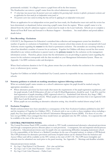permanently excluded. It is illegal to remove a pupil from roll in the first instance.

The Headteacher can remove a pupil's name from the school admissions register if;

- *15 school days have passed since the parents/carers were notified of the governing body's decision to uphold a permanent exclusion and no application has been made for an independent review panel; or*
- *The parents/carers have stated in writing that they will not be applying for an independent review panel.*

Where an application for an independent review panel has been made, the Headteacher must wait until the review has been determined, or abandoned, before removing a pupil's name from the register. Where a pupil's name is to be deleted from the school's admission register a return must be made to the Local Authority. Schools are to complete a 'Removal From Roll' form and forward it to Business Support – Attendance. . See email address and postal address details below.

# **1.7 Data Recording - Exclusions**

COLLECT, the Department for Education's centralised data collection and management system has identified a number of queries re: exclusions in Sunderland. On some occasions school data returns do not correspond with Local Authority returns regarding the **reason** for the fixed or permanent exclusion. The anomalies are occurring whereby a school has identified a number of reasons for an exclusion. Together for Children will always record the first reason (identified in any written notification to parent/carer) as the **primary reason** for the exclusion on the management information system. Therefore, please ensure that the information you are providing to parents/carers regarding the reason for the exclusion corresponds with the data recorded on your Management Information System. Please see Appendix 1 for DFE exclusion codes and descriptors.

Where fixed exclusions duration is for 0.5 day, please ensure that you advise whether the exclusion is for a morning (a.m.) or afternoon (p.m.) session.

Together for Children on behalf of Sunderland City Council, cannot be responsible for any inaccuracies recorded by schools.

# **1.8 Statutory guidance to schools on marking attendance registers following exclusion**

Whist an excluded pupil's name remains on a school's admissions register the pupil should be marked using the appropriate attendance code.

- Where alternative provision has been made (that meets the requirements of the pupil registration regulations), and the pupil attends, Code B (Education off-site) or Code D (Dual Registration), should be used. Code D is used for dual registration of pupils attending a DFE registered school (i.e. Sunderland Link Schools, Key Stage 1 PRU, special school or another local school). Where pupils are attending alternative provision that is not registered with DFE then Code B should be used.
- Where pupils are not attending an alternative education setting they should be marked absent using Code E.

# **1.9 Exclusion Templates**

Model exclusion letters have been amended as a consequence of the New Exclusion Guidance published in July 2017 and the inception of Together for Children (TFC). If schools wish to use or refer to these templates when excluding a pupil, they have been uploaded onto the School's Information Management System (SIMS). For those of you who have not got SIMS, I have arranged that these model letters are uploaded onto the TFC website. It is expected this will be available at the start of the new term.

# **2. CENTRAL PROVISIONS PANEL**

The Central Provisions Panel (CPP) considers referrals to TFC locally commissioned alternative educational provisions and through a transparent process allocates places to such provisions. A transparent, fair and impartial referral process is adhered to. Educational provisions cater for pupils who are experiencing difficulties managing mainstream school. It is the responsibility of the School or a Medical Consultant (in the case of hospital tuition), to submit a CPP Referral. The CPP proformas for alternative provisions and home/hospital tuition can be obtained from the Inclusion and Access Officer and will be available on the TFC website at the start of 2017/18. The CPP meets fortnightly and referrals must be submitted one week prior to the panel meeting. See Appendix 2 - Meetings and deadline schedule.

Educational provisions include;

- *Key Stage 1 Pupil Referral Unit Placements; - Part –time and full-time*
- *Key Stage 2 and 3 Link School Placements – Tudor Grove Centre*
- *Key Stage 4 Link School Placements – Pallion Centre*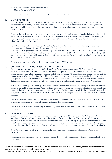- *Returners Placements – based at Thornhill School*
- *Home and/or Hospital Tuition*

For further information please contact the Inclusion and Access Officer.

# **3. MANAGED MOVES**

There are a number of schools in Sunderland who have participated in managed moves over the last few years. A managed move is a managed transfer of a child from one school to another, which consists of a formal agreement between the child's parent/carer, the Headteachers of both the home school and the proposed receiving school and of course the child.

A managed move is a strategy that is used in response to where a child is displaying challenging behaviours that could lead towards a permanent exclusion. A managed move would take place if Headteachers from both the referring and receiving school, parent/carer and child have agreed that it is in the pupil's best interest to remain in a mainstream school and be given a 'fresh start'.

Parent/Carer information is available on the TFC website and the Managed move form, including parent/carer agreement can be obtained from the Inclusion and Access Officer.

The Parent/Carer agreement form has been slightly amended in accordance with the Sunderland Fair Access/Managed Moves/In Year Transfer Process and Protocols April 2015. As requested by schools, a form has also been designed to provide the receiving school with some background information on a pupil that the receiving school may require prior to the managed move commencing.

The managed move protocols can also be downloaded from the TFC website.

#### **4. CHILDREN MISSING OUT ON EDUCATION (CMOOE)**

As the result of a survey carried out by Ofsted, *Pupils missing out on education November 2013,* when carrying out inspections, Her Majesty's Inspectors will ask for detailed and specific data on school-age children, for whom the local authority is responsible, but who are not engaging in full-time education. All Local Authorities have a statutory duty to arrange suitable full-time education<sup>[1](#page-0-0)</sup> for children of compulsory school age at school, or otherwise for children and young people who do not attend school in the usual way[2.](#page-4-0) Children included on this template will be those children that schools currently have on roll and who are not receiving their full-time entitlement at the school's main base.

In Sunderland, primary and secondary schools and academies complete a template on a termly basis and forward to the Together for Children, Inclusion and Access Officer. All information sent between the local authority and schools that contain individual pupil data is now sent as encrypted files with '7-Zip' software (Sunderland City Council's standard encryption software). Therefore, please ensure returned templates are encrypted and in line with the Council's current practices.

CMOOE templates will be sent to all schools in the first week of the new academic year of 2017/18. Templates should be completed and returned to michelle.burlinson@togetherforchildren.org.uk

CMOOE is different to children missing in education (CME). Please refer all CME to Business Support – CME, Early Help Team.

#### **5. IN YEAR FAIR ACCESS**

The Fair Access Protocol, for Sunderland, was produced and agreed by Headteachers in April 2015. Each Council must have a Fair Access Protocol agreed with the majority of schools in the area. The purpose of Fair Access Protocols is to ensure that – outside the normal admissions round – unplaced, especially the most vulnerable, are found and offered a place quickly, so that the amount of time any child is out of school is kept to a minimum. Every local authority is required to have in place a Fair Access Protocol that has been developed in partnership with local schools.

See DFE advised was published in November 2012, [Fair access protocols in school admissions -](https://www.gov.uk/government/publications/fair-access-protocols-in-school-admissions) Publications - [GOV.UK.](https://www.gov.uk/government/publications/fair-access-protocols-in-school-admissions) 

It is expected that these protocols will be updated during 2017/18. The current protocols can be downloaded from the TFC website.

 $1$  'Suitable education' in relation to a child or young person means efficient education suitable to his/her age, ability and aptitude and to any special educational needs he or she may have

<span id="page-4-0"></span><sup>&</sup>lt;sup>2</sup> 'Usual way' refers to the provision attended by the vast majority of children and young people of compulsory school age in England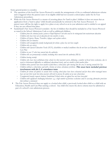Some general points to consider;

- The operation of the local Fair Access Protocol is outside the arrangements of the co-ordinated admissions scheme and is triggered when the parent/carer of an eligible child had not secured a school place under the In-Year Admissions procedures.
- While the Fair Access Protocol is a means of securing places for 'hard to place' children it does not mean that an application from a 'hard to place' child should automatically be referred to the Fair Access Protocol. A parent/carer still has the right to apply for a place at any school as an in-year admission and is entitled to an appeal if they are not offered that place.
- Sunderland's Fair Access Protocol considers the list of children that should be included in a Fair Access Protocol as stated in the School Admissions Code as well as additional children;
	- *Children from the criminal justice system or Pupil Referral Unit who need to be reintegrated into mainstream education*
	- *Children who have been out of education for two months or more,*
	- *Children of Gypsies, Roma, Travellers, refugees and asylum seekers.*
	- *Children who are homeless*
	- *Children with unsupportive family backgrounds for whom a place has not been sought.*
	- *Children who are carers;*
	- *Children with Special Education Needs (SEN), disabilities or medical conditions that do not have an Education, Health and Care Plan*
	- *Children in year 11 who have moved into the authority.*
	- *Children who are permanently excluded, including those moved into the authority (MIA)*
	- *Children leaving custody*
	- *Children who have been withdrawn from schools by their parents/carers, following a number of fixed term exclusions, due to social or behavioural difficulties or additional educational needs, and are unable to find another place*
	- *Children whose parents have been unable to find them a school place after moving into the area or moving around the City*
	- Children without a school place and with a history of serious attendance problems. This must have included previous involvement with the L.A. attendance team*.*
	- *Children for whom all options to sustain their existing school place have been exhausted and for those where managed moves have not met their needs but whose parents still wish to pursue the option of an new school place*
	- *Unsupported transfer requests between Sunderland Schools where an appeal has not been successful.*
	- *Children with significant challenging behaviour. e.g. a high number of previous exclusions and/or accessing alternative provision (but without a statement)*
	- The Fair Access Protocol does not apply to a looked after child, a previously looked after child or a child with an Education, Health and Care Plan naming a school. Any child who meets the above criteria must be admitted as part of a school's own admissions process.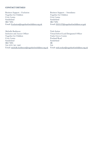# **CONTACT DETAILS**

Business Support – Exclusion Together for Children Civic Centre Sunderland SR2 7DN Email: [Exclusion@togetherforchildren.org.uk](mailto:Exclusion@togetherforchildren.org.uk)

Michelle Burlinson Inclusion and Access Officer Together for Children Civic Centre Sunderland SR2 7DN Tel: 0191 561 1442 Email: [michelle.burlinson@togetheforchildren.org.uk](mailto:michelle.burlinson@togetheforchildren.org.uk)

Business Support – Attendance Together for Children Civic Centre Sunderland SR2 7DN Email: [EHAAT@togetherforchildren.or.guk](mailto:EHAAT@togetherforchildren.or.guk)

Trish Stoker Virtual School Lead Designated Officer Tudor Grove Centre Portland Road Sunderland SR Tel: Email: [trish.stoker@togetherforchildren.org.uk](mailto:trish.stoker@togetherforchildren.org.uk)